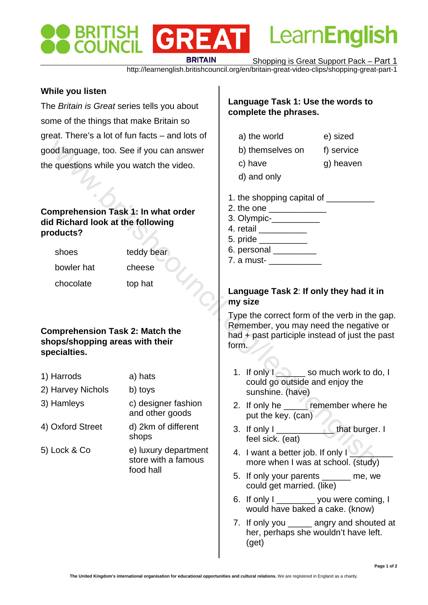# GREAT **BRITAIN**

Shopping is Great Support Pack – Part 1

Learn**English** 

http://learnenglish.britishcouncil.org/en/britain-great-video-clips/shopping-great-part-1

### **While you listen**

The *Britain is Great* series tells you about some of the things that make Britain so great. There's a lot of fun facts – and lots of good language, too. See if you can answer the questions while you watch the video.

#### **Comprehension Task 1: In what order did Richard look at the following products?**

shoes teddy bear

- bowler hat cheese
- chocolate top hat

#### **Comprehension Task 2: Match the shops/shopping areas with their specialties.**

- 1) Harrods a) hats 2) Harvey Nichols b) toys 3) Hamleys c) designer fashion and other goods 4) Oxford Street d) 2km of different shops Continue Species the Unit of the Video of the Video of the Video of the Video of the Video of the Video of the Video of the Video of the Video of the Video of the Video of the Video of the Video of the Video of the Video o
- 5) Lock & Co e) luxury department store with a famous food hall

# **Language Task 1: Use the words to complete the phrases.**

- a) the world e) sized
- b) themselves on f) service
- c) have g) heaven
- d) and only
- 1. the shopping capital of
- 2. the one
- 3. Olympic-\_\_\_\_\_\_\_\_\_\_\_\_\_
- 4. retail \_\_\_\_\_\_\_\_\_\_
- $5.$  pride  $\blacksquare$
- 6. personal \_\_\_\_\_\_\_\_\_

7. a must- \_\_\_\_\_\_\_\_\_\_\_

# **Language Task 2**: **If only they had it in my size**

Type the correct form of the verb in the gap. Remember, you may need the negative or had + past participle instead of just the past form.

- 1. If only I so much work to do, I could go outside and enjoy the sunshine. (have)
- 2. If only he **remember where he** put the key. (can)
- 3. If only I and that burger. I feel sick. (eat)
- 4. I want a better job. If only I more when I was at school. (study)
- 5. If only your parents \_\_\_\_\_\_ me, we could get married. (like)
- 6. If only I wou were coming, I would have baked a cake. (know)
- 7. If only you angry and shouted at her, perhaps she wouldn't have left. (get)